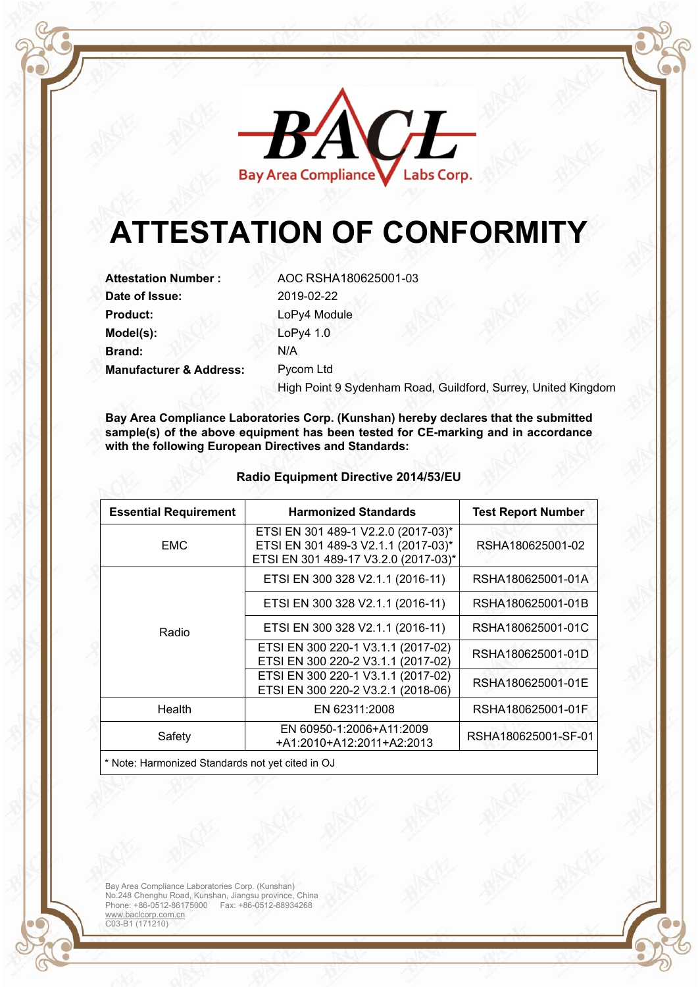

## **ATTESTATION OF CONFORMITY**

**Attestation Number :** AOC RSHA180625001-03 **Date of Issue:** 2019-02-22 Product: LoPy4 Module **Model(s):** LoPy4 1.0 **Brand:** N/A **Manufacturer & Address:** Pycom Ltd

High Point 9 Sydenham Road, Guildford, Surrey, United Kingdom

**Bay Area Compliance Laboratories Corp. (Kunshan) hereby declares that the submitted sample(s) of the above equipment has been tested for CE-marking and in accordance with the following European Directives and Standards:** 

| <b>Essential Requirement</b> | <b>Harmonized Standards</b>                                                                                        | <b>Test Report Number</b> |
|------------------------------|--------------------------------------------------------------------------------------------------------------------|---------------------------|
| <b>EMC</b>                   | ETSI EN 301 489-1 V2.2.0 (2017-03)*<br>ETSI EN 301 489-3 V2.1.1 (2017-03)*<br>ETSI EN 301 489-17 V3.2.0 (2017-03)* | RSHA180625001-02          |
| Radio                        | ETSI EN 300 328 V2.1.1 (2016-11)                                                                                   | RSHA180625001-01A         |
|                              | ETSI EN 300 328 V2.1.1 (2016-11)                                                                                   | RSHA180625001-01B         |
|                              | ETSI EN 300 328 V2.1.1 (2016-11)                                                                                   | RSHA180625001-01C         |
|                              | ETSI EN 300 220-1 V3.1.1 (2017-02)<br>ETSI EN 300 220-2 V3.1.1 (2017-02)                                           | RSHA180625001-01D         |
|                              | ETSI EN 300 220-1 V3.1.1 (2017-02)<br>ETSI EN 300 220-2 V3.2.1 (2018-06)                                           | RSHA180625001-01E         |
| Health                       | EN 62311:2008                                                                                                      | RSHA180625001-01F         |
| Safety                       | EN 60950-1:2006+A11:2009<br>+A1:2010+A12:2011+A2:2013                                                              | RSHA180625001-SF-01       |

## **Radio Equipment Directive 2014/53/EU**

Note: Harmonized Standards not yet cited in OJ

Bay Area Compliance Laboratories Corp. (Kunshan) No.248 Chenghu Road, Kunshan, Jiangsu province, China Phone: +86-0512-86175000 Fax: +86-0512-88934268 www.baclcorp.com.cn C03-B1 (171210)